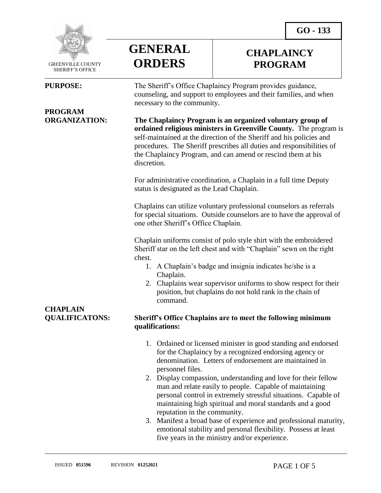**CHAPLAINCY PROGRAM**



 GREENVILLE COUNTY SHERIFF'S OFFICE

 $\overline{a}$ 

# **PROGRAM**



### **PURPOSE:** The Sheriff's Office Chaplaincy Program provides guidance, counseling, and support to employees and their families, and when necessary to the community.

**ORGANIZATION: The Chaplaincy Program is an organized voluntary group of ordained religious ministers in Greenville County.** The program is self-maintained at the direction of the Sheriff and his policies and procedures. The Sheriff prescribes all duties and responsibilities of the Chaplaincy Program, and can amend or rescind them at his discretion.

> For administrative coordination, a Chaplain in a full time Deputy status is designated as the Lead Chaplain.

Chaplains can utilize voluntary professional counselors as referrals for special situations. Outside counselors are to have the approval of one other Sheriff's Office Chaplain.

Chaplain uniforms consist of polo style shirt with the embroidered Sheriff star on the left chest and with "Chaplain" sewn on the right chest.

- 1. A Chaplain's badge and insignia indicates he/she is a Chaplain.
- 2. Chaplains wear supervisor uniforms to show respect for their position, but chaplains do not hold rank in the chain of command.

## **CHAPLAIN**

#### **QUALIFICATONS: Sheriff's Office Chaplains are to meet the following minimum qualifications:**

- 1. Ordained or licensed minister in good standing and endorsed for the Chaplaincy by a recognized endorsing agency or denomination. Letters of endorsement are maintained in personnel files.
- 2. Display compassion, understanding and love for their fellow man and relate easily to people. Capable of maintaining personal control in extremely stressful situations. Capable of maintaining high spiritual and moral standards and a good reputation in the community.
- 3. Manifest a broad base of experience and professional maturity, emotional stability and personal flexibility. Possess at least five years in the ministry and/or experience.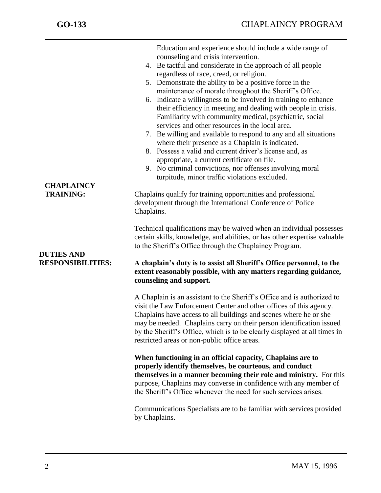| <b>CHAPLAINCY</b><br><b>TRAINING:</b><br><b>DUTIES AND</b><br><b>RESPONSIBILITIES:</b> | Education and experience should include a wide range of<br>counseling and crisis intervention.<br>4. Be tactful and considerate in the approach of all people<br>regardless of race, creed, or religion.<br>5. Demonstrate the ability to be a positive force in the<br>maintenance of morale throughout the Sheriff's Office.<br>6. Indicate a willingness to be involved in training to enhance<br>their efficiency in meeting and dealing with people in crisis.<br>Familiarity with community medical, psychiatric, social<br>services and other resources in the local area.<br>7. Be willing and available to respond to any and all situations<br>where their presence as a Chaplain is indicated.<br>8. Possess a valid and current driver's license and, as<br>appropriate, a current certificate on file.<br>9. No criminal convictions, nor offenses involving moral<br>turpitude, minor traffic violations excluded.<br>Chaplains qualify for training opportunities and professional<br>development through the International Conference of Police<br>Chaplains.<br>Technical qualifications may be waived when an individual possesses<br>certain skills, knowledge, and abilities, or has other expertise valuable<br>to the Sheriff's Office through the Chaplaincy Program.<br>A chaplain's duty is to assist all Sheriff's Office personnel, to the<br>extent reasonably possible, with any matters regarding guidance,<br>counseling and support. |
|----------------------------------------------------------------------------------------|----------------------------------------------------------------------------------------------------------------------------------------------------------------------------------------------------------------------------------------------------------------------------------------------------------------------------------------------------------------------------------------------------------------------------------------------------------------------------------------------------------------------------------------------------------------------------------------------------------------------------------------------------------------------------------------------------------------------------------------------------------------------------------------------------------------------------------------------------------------------------------------------------------------------------------------------------------------------------------------------------------------------------------------------------------------------------------------------------------------------------------------------------------------------------------------------------------------------------------------------------------------------------------------------------------------------------------------------------------------------------------------------------------------------------------------------------------------------|
|                                                                                        | A Chaplain is an assistant to the Sheriff's Office and is authorized to<br>visit the Law Enforcement Center and other offices of this agency.<br>Chaplains have access to all buildings and scenes where he or she<br>may be needed. Chaplains carry on their person identification issued<br>by the Sheriff's Office, which is to be clearly displayed at all times in<br>restricted areas or non-public office areas.                                                                                                                                                                                                                                                                                                                                                                                                                                                                                                                                                                                                                                                                                                                                                                                                                                                                                                                                                                                                                                              |
|                                                                                        | When functioning in an official capacity, Chaplains are to<br>properly identify themselves, be courteous, and conduct<br>themselves in a manner becoming their role and ministry. For this<br>purpose, Chaplains may converse in confidence with any member of<br>the Sheriff's Office whenever the need for such services arises.                                                                                                                                                                                                                                                                                                                                                                                                                                                                                                                                                                                                                                                                                                                                                                                                                                                                                                                                                                                                                                                                                                                                   |
|                                                                                        | Communications Specialists are to be familiar with services provided<br>by Chaplains.                                                                                                                                                                                                                                                                                                                                                                                                                                                                                                                                                                                                                                                                                                                                                                                                                                                                                                                                                                                                                                                                                                                                                                                                                                                                                                                                                                                |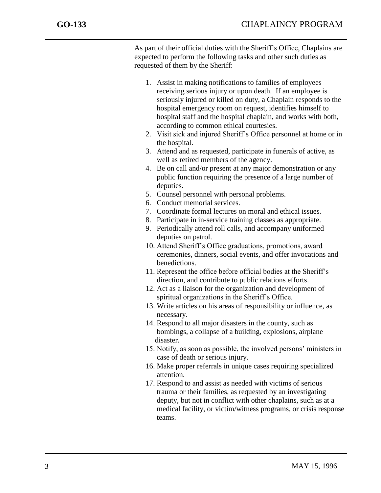j

As part of their official duties with the Sheriff's Office, Chaplains are expected to perform the following tasks and other such duties as requested of them by the Sheriff:

- 1. Assist in making notifications to families of employees receiving serious injury or upon death. If an employee is seriously injured or killed on duty, a Chaplain responds to the hospital emergency room on request, identifies himself to hospital staff and the hospital chaplain, and works with both, according to common ethical courtesies.
- 2. Visit sick and injured Sheriff's Office personnel at home or in the hospital.
- 3. Attend and as requested, participate in funerals of active, as well as retired members of the agency.
- 4. Be on call and/or present at any major demonstration or any public function requiring the presence of a large number of deputies.
- 5. Counsel personnel with personal problems.
- 6. Conduct memorial services.
- 7. Coordinate formal lectures on moral and ethical issues.
- 8. Participate in in-service training classes as appropriate.
- 9. Periodically attend roll calls, and accompany uniformed deputies on patrol.
- 10. Attend Sheriff's Office graduations, promotions, award ceremonies, dinners, social events, and offer invocations and benedictions.
- 11. Represent the office before official bodies at the Sheriff's direction, and contribute to public relations efforts.
- 12. Act as a liaison for the organization and development of spiritual organizations in the Sheriff's Office.
- 13. Write articles on his areas of responsibility or influence, as necessary.
- 14. Respond to all major disasters in the county, such as bombings, a collapse of a building, explosions, airplane disaster.
- 15. Notify, as soon as possible, the involved persons' ministers in case of death or serious injury.
- 16. Make proper referrals in unique cases requiring specialized attention.
- 17. Respond to and assist as needed with victims of serious trauma or their families, as requested by an investigating deputy, but not in conflict with other chaplains, such as at a medical facility, or victim/witness programs, or crisis response teams.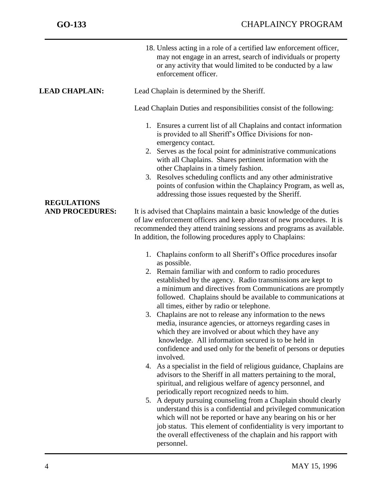|                                              | 18. Unless acting in a role of a certified law enforcement officer,<br>may not engage in an arrest, search of individuals or property<br>or any activity that would limited to be conducted by a law<br>enforcement officer.                                                                                                                                                                                                                                                                                                                                                                                                                                                                                                                                                                                                                                                                                                                                                                                                                                                                                                                                                                                                                                                                                                                                                                                                                                                                                                                                                                                                                                                                                                                                                                                                                                                                                                                                                                                                                                                                                                                 |
|----------------------------------------------|----------------------------------------------------------------------------------------------------------------------------------------------------------------------------------------------------------------------------------------------------------------------------------------------------------------------------------------------------------------------------------------------------------------------------------------------------------------------------------------------------------------------------------------------------------------------------------------------------------------------------------------------------------------------------------------------------------------------------------------------------------------------------------------------------------------------------------------------------------------------------------------------------------------------------------------------------------------------------------------------------------------------------------------------------------------------------------------------------------------------------------------------------------------------------------------------------------------------------------------------------------------------------------------------------------------------------------------------------------------------------------------------------------------------------------------------------------------------------------------------------------------------------------------------------------------------------------------------------------------------------------------------------------------------------------------------------------------------------------------------------------------------------------------------------------------------------------------------------------------------------------------------------------------------------------------------------------------------------------------------------------------------------------------------------------------------------------------------------------------------------------------------|
| <b>LEAD CHAPLAIN:</b>                        | Lead Chaplain is determined by the Sheriff.                                                                                                                                                                                                                                                                                                                                                                                                                                                                                                                                                                                                                                                                                                                                                                                                                                                                                                                                                                                                                                                                                                                                                                                                                                                                                                                                                                                                                                                                                                                                                                                                                                                                                                                                                                                                                                                                                                                                                                                                                                                                                                  |
|                                              | Lead Chaplain Duties and responsibilities consist of the following:                                                                                                                                                                                                                                                                                                                                                                                                                                                                                                                                                                                                                                                                                                                                                                                                                                                                                                                                                                                                                                                                                                                                                                                                                                                                                                                                                                                                                                                                                                                                                                                                                                                                                                                                                                                                                                                                                                                                                                                                                                                                          |
| <b>REGULATIONS</b><br><b>AND PROCEDURES:</b> | 1. Ensures a current list of all Chaplains and contact information<br>is provided to all Sheriff's Office Divisions for non-<br>emergency contact.<br>2. Serves as the focal point for administrative communications<br>with all Chaplains. Shares pertinent information with the<br>other Chaplains in a timely fashion.<br>3. Resolves scheduling conflicts and any other administrative<br>points of confusion within the Chaplaincy Program, as well as,<br>addressing those issues requested by the Sheriff.<br>It is advised that Chaplains maintain a basic knowledge of the duties<br>of law enforcement officers and keep abreast of new procedures. It is<br>recommended they attend training sessions and programs as available.<br>In addition, the following procedures apply to Chaplains:<br>1. Chaplains conform to all Sheriff's Office procedures insofar<br>as possible.<br>2. Remain familiar with and conform to radio procedures<br>established by the agency. Radio transmissions are kept to<br>a minimum and directives from Communications are promptly<br>followed. Chaplains should be available to communications at<br>all times, either by radio or telephone.<br>3. Chaplains are not to release any information to the news<br>media, insurance agencies, or attorneys regarding cases in<br>which they are involved or about which they have any<br>knowledge. All information secured is to be held in<br>confidence and used only for the benefit of persons or deputies<br>involved.<br>As a specialist in the field of religious guidance, Chaplains are<br>4.<br>advisors to the Sheriff in all matters pertaining to the moral,<br>spiritual, and religious welfare of agency personnel, and<br>periodically report recognized needs to him.<br>5. A deputy pursuing counseling from a Chaplain should clearly<br>understand this is a confidential and privileged communication<br>which will not be reported or have any bearing on his or her<br>job status. This element of confidentiality is very important to<br>the overall effectiveness of the chaplain and his rapport with<br>personnel. |